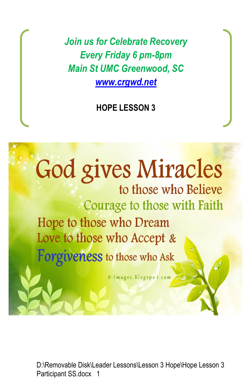*Join us for Celebrate Recovery Every Friday 6 pm-8pm Main St UMC Greenwood, SC [www.crgwd.net](http://www.crgwd.net/)*

**HOPE LESSON 3**

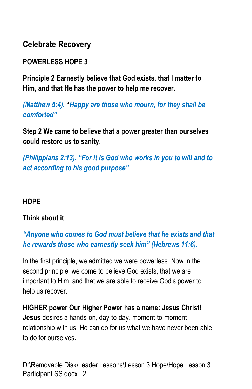**Celebrate Recovery**

**POWERLESS HOPE 3**

**Principle 2 Earnestly believe that God exists, that I matter to Him, and that He has the power to help me recover.**

*(Matthew 5:4).* **"***Happy are those who mourn, for they shall be comforted"* 

**Step 2 We came to believe that a power greater than ourselves could restore us to sanity.**

*(Philippians 2:13). "For it is God who works in you to will and to act according to his good purpose"* 

### **HOPE**

### **Think about it**

*"Anyone who comes to God must believe that he exists and that he rewards those who earnestly seek him" (Hebrews 11:6).*

In the first principle, we admitted we were powerless. Now in the second principle, we come to believe God exists, that we are important to Him, and that we are able to receive God's power to help us recover.

**HIGHER power Our Higher Power has a name: Jesus Christ! Jesus** desires a hands-on, day-to-day, moment-to-moment relationship with us. He can do for us what we have never been able to do for ourselves.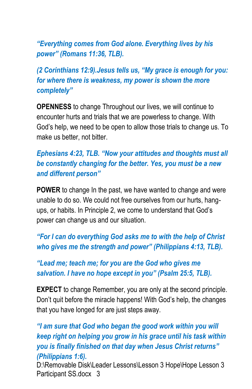*"Everything comes from God alone. Everything lives by his power" (Romans 11:36, TLB).*

*(2 Corinthians 12:9).Jesus tells us, "My grace is enough for you: for where there is weakness, my power is shown the more completely"*

**OPENNESS** to change Throughout our lives, we will continue to encounter hurts and trials that we are powerless to change. With God's help, we need to be open to allow those trials to change us. To make us better, not bitter.

# *Ephesians 4:23, TLB. "Now your attitudes and thoughts must all be constantly changing for the better. Yes, you must be a new and different person"*

**POWER** to change In the past, we have wanted to change and were unable to do so. We could not free ourselves from our hurts, hangups, or habits. In Principle 2, we come to understand that God's power can change us and our situation.

*"For I can do everything God asks me to with the help of Christ who gives me the strength and power" (Philippians 4:13, TLB).* 

## *"Lead me; teach me; for you are the God who gives me salvation. I have no hope except in you" (Psalm 25:5, TLB).*

**EXPECT** to change Remember, you are only at the second principle. Don't quit before the miracle happens! With God's help, the changes that you have longed for are just steps away.

*"I am sure that God who began the good work within you will keep right on helping you grow in his grace until his task within you is finally finished on that day when Jesus Christ returns" (Philippians 1:6).*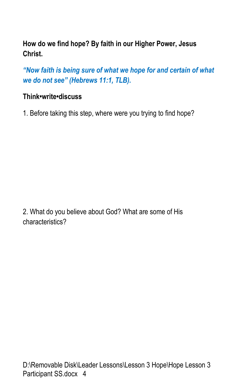# **How do we find hope? By faith in our Higher Power, Jesus Christ.**

*"Now faith is being sure of what we hope for and certain of what we do not see" (Hebrews 11:1, TLB).*

## **Think•write•discuss**

1. Before taking this step, where were you trying to find hope?

2. What do you believe about God? What are some of His characteristics?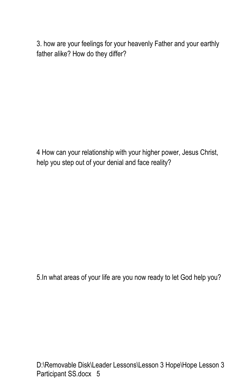3. how are your feelings for your heavenly Father and your earthly father alike? How do they differ?

4 How can your relationship with your higher power, Jesus Christ, help you step out of your denial and face reality?

5.In what areas of your life are you now ready to let God help you?